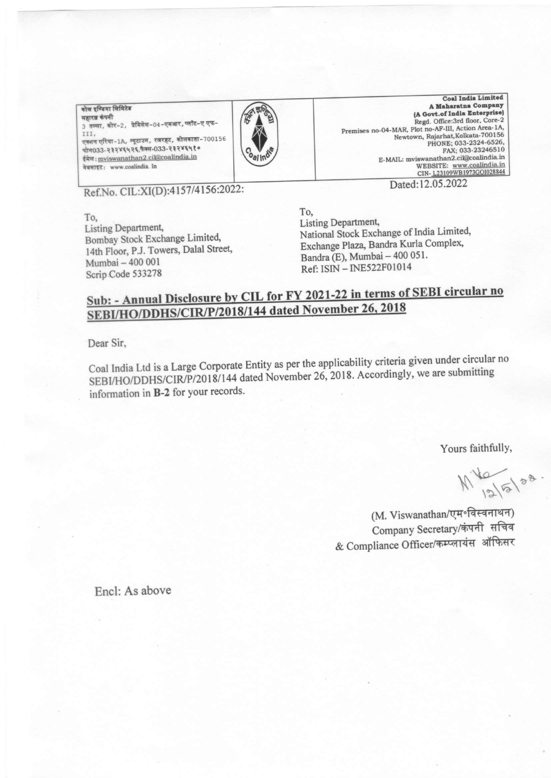.<br>कोल इण्डिया लिमिटेड महारत्न कंपनी 3 तल्ला, कोर-2, प्रेमिसेस-04-एमआर, प्लॉट-ए एफ-TTT. एक्शन एरिया-1A, न्यूटाउन, रजरहट, कोलकाता-700156 फोन033-२३२४६५२६, फैक्स-033-२३२४६५१० ईमेल: mviswanathan2.cil@coalindia.in वेबसाइट: www.coalindia. In



Coal India Limited A Maharatna Company (A Govt.of India Enterprise) Regd. Office:3rd floor, Core-2 regu. Unice: Gra Hoor, Core-2<br>Premises no-04-MAR, Plot no-AF-III, Action Area-1A,<br>Newtown, Rajarhat, Kolkata-700156 PHONE; 033-2324-6526, FAX; 033-23246510 E-MAIL: mviswanathan2.cil@coalindia.in WEBSITE: www.coalindia.in<br>CIN-L23109WB1973GOI028844 Dated:12.05.2022

Ref.No. CIL:XI(D):4157/4156:2022:

To, Listing Department, Bombay Stock Exchange Limited, 14th Floor, P.J. Towers, Dalal Street, Mumbai - 400 001 Scrip Code 533278

To. Listing Department, National Stock Exchange of India Limited, Exchange Plaza, Bandra Kurla Complex, Bandra (E), Mumbai - 400 051. Ref: ISIN - INE522F01014

## Sub: - Annual Disclosure by CIL for FY 2021-22 in terms of SEBI circular no SEBI/HO/DDHS/CIR/P/2018/144 dated November 26, 2018

Dear Sir.

Coal India Ltd is a Large Corporate Entity as per the applicability criteria given under circular no SEBI/HO/DDHS/CIR/P/2018/144 dated November 26, 2018. Accordingly, we are submitting information in B-2 for your records.

Yours faithfully,

 $M\frac{10}{101}$   $58$ 

(M. Viswanathan/एम॰विस्वनाथन) Company Secretary/कंपनी सचिव & Compliance Officer/कम्प्लायंस ऑफिसर

Encl: As above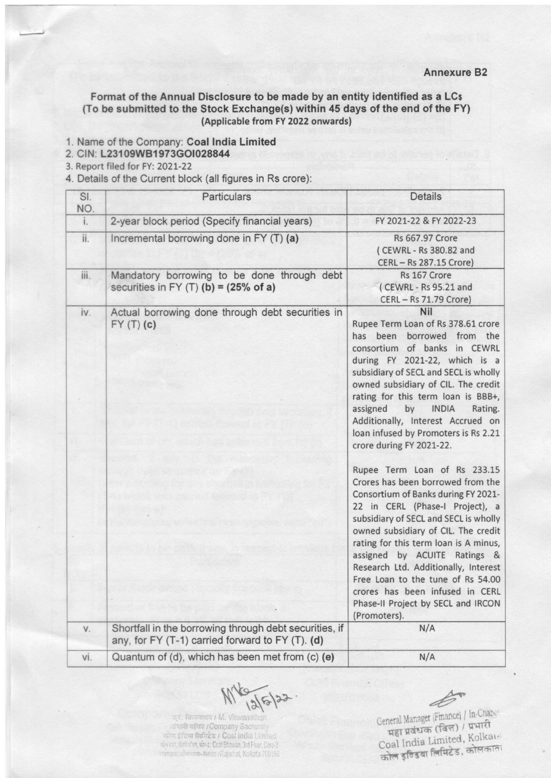## Format of the Annual Disclosure to be made by an entity identified as a LCs (To be submitted to the Stock Exchange(s) within 45 days of the end of the FY) (Applicable from FY 2022 onwards)

- 1. Name of the Company: Coal India Limited
- 2. CIN: L23109W81973GO1028844
- 3. Report filed for FY: 2021-22
- 4. Details of the Current block (all figures in Rs crore):

| SI.<br>NO. | Particulars                                                                                                | <b>Details</b>                                                                                                                                                                                                                                                                                                                                                                                                                                                             |
|------------|------------------------------------------------------------------------------------------------------------|----------------------------------------------------------------------------------------------------------------------------------------------------------------------------------------------------------------------------------------------------------------------------------------------------------------------------------------------------------------------------------------------------------------------------------------------------------------------------|
| i.         | 2-year block period (Specify financial years)                                                              | FY 2021-22 & FY 2022-23                                                                                                                                                                                                                                                                                                                                                                                                                                                    |
| ii.        | Incremental borrowing done in FY (T) (a)                                                                   | Rs 667.97 Crore<br>(CEWRL - Rs 380.82 and<br>CERL - Rs 287.15 Crore)                                                                                                                                                                                                                                                                                                                                                                                                       |
| iii.       | Mandatory borrowing to be done through debt<br>securities in FY $(T)$ (b) = (25% of a)                     | Rs 167 Crore<br>(CEWRL - Rs 95.21 and<br>CERL - Rs 71.79 Crore)                                                                                                                                                                                                                                                                                                                                                                                                            |
| iv.        | Actual borrowing done through debt securities in<br>FY(T)(c)                                               | <b>Nil</b><br>Rupee Term Loan of Rs 378.61 crore<br>has been<br>borrowed from the<br>consortium of banks in CEWRL<br>during FY 2021-22, which is a<br>subsidiary of SECL and SECL is wholly<br>owned subsidiary of CIL. The credit<br>rating for this term loan is BBB+,<br>assigned<br>by<br><b>INDIA</b><br>Rating.<br>Additionally, Interest Accrued on<br>loan infused by Promoters is Rs 2.21<br>crore during FY 2021-22.                                             |
|            |                                                                                                            | Rupee Term Loan of Rs 233.15<br>Crores has been borrowed from the<br>Consortium of Banks during FY 2021-<br>22 in CERL (Phase-I Project), a<br>subsidiary of SECL and SECL is wholly<br>owned subsidiary of CIL. The credit<br>rating for this term loan is A minus,<br>assigned by ACUITE Ratings &<br>Research Ltd. Additionally, Interest<br>Free Loan to the tune of Rs 54.00<br>crores has been infused in CERL<br>Phase-II Project by SECL and IRCON<br>(Promoters). |
| V.         | Shortfall in the borrowing through debt securities, if<br>any, for FY (T-1) carried forward to FY (T). (d) | N/A                                                                                                                                                                                                                                                                                                                                                                                                                                                                        |
| vi.        | Quantum of (d), which has been met from (c) (e)                                                            | N/A                                                                                                                                                                                                                                                                                                                                                                                                                                                                        |

कंपानी सचिव / Company Secretsby कोल इंडिया लिमिटेड / Coal India Limited<br>क्षेत्र कर, ईनी पील, बोल्श Coal Bhawan, 3rd Fiorr, Core-2 rimere, die stra-zonss /Rajarhal, Kolkata-700166

Coal India Limited, Kolkan<br>कोल इंग्डिया लिमिटेड, कोलकाता MES 122 .<br>
Eneral Manager (Finance) / In-Changer (Finance) / In-Changer (Finance) / In-Changer (Finance) / In-Changer (Finance) / In-Changer (Finance) / In-Changer (Finance) / In-Changer (Finance) / In-Changer (Finance) /